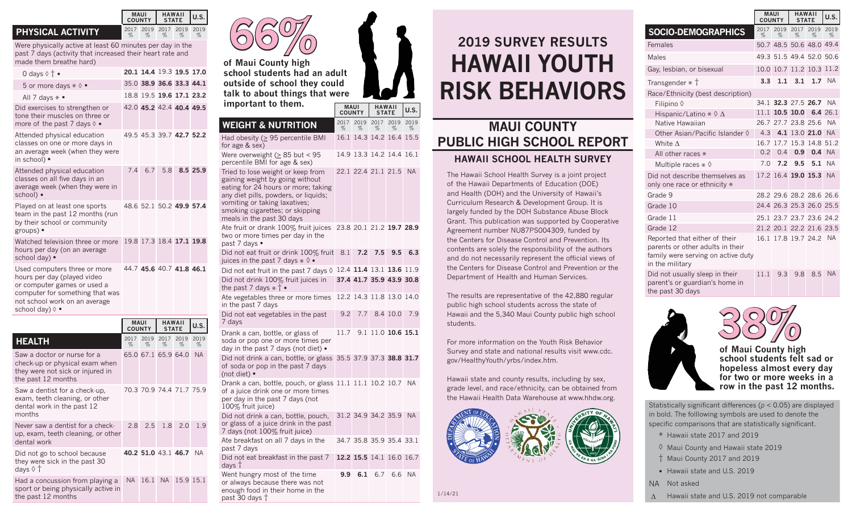## **PHYSICAL ACTIVITY**

Were physically active at least 60 minutes per day in the past 7 days (activity that increased their heart rate and made them breathe hard)

**MAUI COUNTY**

%

%

**HAWAII STATE U.S.**

%

%

2019 2017 2019 2019

%

| 0 days $\diamond$ $\dagger$ •                                                                                                                                                     |                              | 20.1 14.4 19.3 19.5 17.0 |                               |      |                   |
|-----------------------------------------------------------------------------------------------------------------------------------------------------------------------------------|------------------------------|--------------------------|-------------------------------|------|-------------------|
| 5 or more days $* \lozenge \bullet$                                                                                                                                               |                              | 35.0 38.9 36.6 33.3 44.1 |                               |      |                   |
| All 7 days $* \bullet$                                                                                                                                                            |                              | 18.8 19.5 19.6 17.1 23.2 |                               |      |                   |
| Did exercises to strengthen or<br>tone their muscles on three or<br>more of the past 7 days $\Diamond \bullet$                                                                    |                              | 42.0 45.2 42.4 40.4 49.5 |                               |      |                   |
| Attended physical education<br>classes on one or more days in<br>an average week (when they were<br>in school) •                                                                  |                              | 49.5 45.3 39.7 42.7 52.2 |                               |      |                   |
| Attended physical education<br>classes on all five days in an<br>average week (when they were in<br>school) •                                                                     | 7.4                          | 6.7                      | 5.8                           |      | 8.5 25.9          |
| Played on at least one sports<br>team in the past 12 months (run<br>by their school or community<br>groups) •                                                                     |                              | 48.6 52.1 50.2 49.9 57.4 |                               |      |                   |
| Watched television three or more<br>hours per day (on an average<br>school day) •                                                                                                 |                              | 19.8 17.3 18.4 17.1 19.8 |                               |      |                   |
| Used computers three or more<br>hours per day (played video<br>or computer games or used a<br>computer for something that was<br>not school work on an average<br>school day) 0 • |                              | 44 7 45 6 40 7 41 8 46 1 |                               |      |                   |
|                                                                                                                                                                                   | <b>MAUI</b><br><b>COUNTY</b> |                          | <b>HAWAII</b><br><b>STATE</b> |      | U.S.              |
| <b>HEALTH</b>                                                                                                                                                                     | 2017                         | 2019                     | 2017                          | 2019 | 2019              |
| Saw a doctor or nurse for a                                                                                                                                                       | %                            | %<br>65.0 67.1 65.9 64.0 | %                             | %    | $\%$<br><b>NA</b> |
|                                                                                                                                                                                   |                              |                          |                               |      |                   |



days †

past 30 days †

Went hungry most of the time or always because there was not enough food in their home in the

**of Maui County high school students had an adult outside of school they could talk to about things that were important to them.**

**MAUI COUNTY HAWAII STATE U.S. WEIGHT & NUTRITION** % 2019 2017 2019 2019 % % % % Had obesity ( $\geq$  95 percentile BMI for age & sex) 16.1 14.3 14.2 16.4 15.5 Were overweight  $(> 85$  but  $< 95$ percentile BMI for age & sex) 14.9 13.3 14.2 14.4 16.1 Tried to lose weight or keep from gaining weight by going without eating for 24 hours or more; taking any diet pills, powders, or liquids; vomiting or taking laxatives; smoking cigarettes; or skipping meals in the past 30 days 22.1 22.4 21.1 21.5 NA Ate fruit or drank 100% fruit juices 23.8 20.1 21.2 **19.7 28.9** two or more times per day in the past 7 days • Did not eat fruit or drink 100% fruit juices in the past 7 days \* ◊ • 8.1 **7.2 7.5 9.5 6.3** Did not eat fruit in the past 7 days ◊ 12.4 **11.4** 13.1 **13.6** 11.9 Did not drink 100% fruit juices in the past 7 days \* † • **37.4 41.7 35.9 43.9 30.8** Ate vegetables three or more times 12.2 14.3 11.8 13.0 14.0 in the past 7 days Did not eat vegetables in the past 9.2 7.7 8.4 10.0 7.9 7 days Drank a can, bottle, or glass of soda or pop one or more times per day in the past 7 days (not diet) • 11.7 9.1 11.0 **10.6 15.1** Did not drink a can, bottle, or glass 35.5 37.9 37.3 **38.8 31.7** of soda or pop in the past 7 days (not diet) • Drank a can, bottle, pouch, or glass 11.1 11.1 10.2 10.7 NA of a juice drink one or more times per day in the past 7 days (not 100% fruit juice) Did not drink a can, bottle, pouch, 31.2 34.9 34.2 35.9 NA or glass of a juice drink in the past 7 days (not 100% fruit juice) Ate breakfast on all 7 days in the past 7 days 34.7 35.8 35.9 35.4 33.1 Did not eat breakfast in the past 7 **12.2 15.5** 14.1 16.0 16.7

**9.9 6.1** 6.7 6.6 NA

1/14/21

## **2019 SURVEY RESULTS HAWAII YOUTH RISK BEHAVIORS**

## **MAUI COUNTY PUBLIC HIGH SCHOOL REPORT HAWAII SCHOOL HEALTH SURVEY**

The Hawaii School Health Survey is a joint project of the Hawaii Departments of Education (DOE) and Health (DOH) and the University of Hawaii's Curriculum Research & Development Group. It is largely funded by the DOH Substance Abuse Block Grant. This publication was supported by Cooperative Agreement number NU87PS004309, funded by the Centers for Disease Control and Prevention. Its contents are solely the responsibility of the authors and do not necessarily represent the official views of the Centers for Disease Control and Prevention or the Department of Health and Human Services.

The results are representative of the 42,880 regular public high school students across the state of Hawaii and the 5,340 Maui County public high school students.

For more information on the Youth Risk Behavior Survey and state and national results visit www.cdc. gov/HealthyYouth/yrbs/index.htm.

Hawaii state and county results, including by sex, grade level, and race/ethnicity, can be obtained from the Hawaii Health Data Warehouse at www.hhdw.org.



**SOCIO-DEMOGRAPHICS** % 2019 2017 2019 2019 % % % Females 50.7 48.5 50.6 48.0 49.4 Males 49.3 51.5 49.4 52.0 50.6 Gay, lesbian, or bisexual 10.0 10.7 11.2 10.3 11.2 Transgender \* † **3.3 1.1 3.1 1.7** NA Race/Ethnicity (best description) Filipino ◊ 34.1 **32.3** 27.5 **26.7** NA Hispanic/Latino \* ◊ ∆ 11.1 **10.5 10.0 6.4** 26.1 26.7 27.7 23.8 25.6 NA Other Asian/Pacific Islander ◊ 4.3 **4.1** 13.0 **21.0** NA White ∆ 16.7 17.7 15.3 14.8 51.2 All other races \* 0.2 0.4 **0.9 0.4** NA<br>
Multiple races \* 0 7.0 7.2 9.5 5.1 NA Multiple races \* ◊ 7.0 **7.2 9.5 5.1** NA Did not describe themselves as only one race or ethnicity  $*$ 17.2 16.4 **19.0 15.3** NA Grade 9 28.2 29.6 28.2 28.6 26.6 Grade 10 24.4 26.3 25.3 26.0 25.5 Grade 11 25.1 23.7 23.7 23.6 24.2 Grade 12 21.2 20.1 22.2 21.6 23.5 Reported that either of their parents or other adults in their family were serving on active duty in the military 16.1 17.8 19.7 24.2 NA

**MAUI COUNTY**

**HAWAII STATE U.S.**

%

Did not usually sleep in their parent's or guardian's home in the past 30 days



**38% of Maui County high school students felt sad or hopeless almost every day for two or more weeks in a row in the past 12 months.**

11.1 9.3 9.8 8.5 NA

Statistically significant differences (*p* < 0.05) are displayed in bold. The folllowing symbols are used to denote the specific comparisons that are statistically significant.

- \* Hawaii state 2017 and 2019
- ◊ Maui County and Hawaii state 2019 † Maui County 2017 and 2019
- Hawaii state and U.S. 2019
- NA Not asked
- ∆ Hawaii state and U.S. 2019 not comparable

| <b>MAUI</b><br><b>COUNTY</b> |              |           | U.S.      |                                                                                                                    |
|------------------------------|--------------|-----------|-----------|--------------------------------------------------------------------------------------------------------------------|
| 2017<br>%                    | 2019<br>$\%$ | 2017<br>% | 2019<br>% | 2019<br>%                                                                                                          |
|                              |              |           |           | <b>NA</b>                                                                                                          |
|                              |              |           |           |                                                                                                                    |
|                              |              |           |           | 1.9                                                                                                                |
|                              |              |           |           |                                                                                                                    |
|                              |              |           | 28 25     | <b>HAWAII</b><br><b>STATE</b><br>65.0 67.1 65.9 64.0<br>70.3 70.9 74.4 71.7 75.9<br>1820<br>40.2 51.0 43.1 46.7 NA |

Had a concussion from playing a NA 16.1 NA 15.9 15.1

sport or being physically active in

the past 12 months